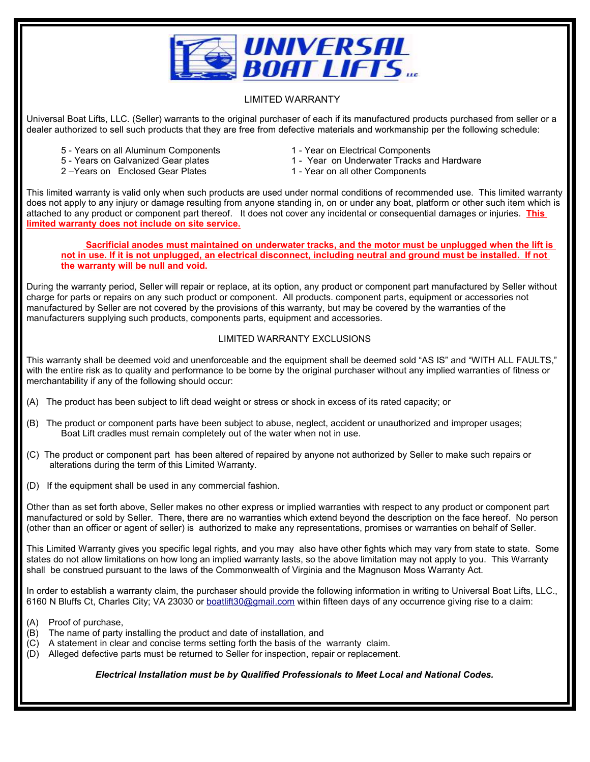

## LIMITED WARRANTY

Universal Boat Lifts, LLC. (Seller) warrants to the original purchaser of each if its manufactured products purchased from seller or a dealer authorized to sell such products that they are free from defective materials and workmanship per the following schedule:

- 5 Years on all Aluminum Components<br>5 Years on Galvanized Gear plates 1 1 Year on Underwater Tracks an
- 
- 
- 
- 5 Years on Galvanized Gear plates 1 Year on Underwater Tracks and Hardware<br>2 Years on Enclosed Gear Plates 1 Year on all other Components
	- 1 Year on all other Components

This limited warranty is valid only when such products are used under normal conditions of recommended use. This limited warranty does not apply to any injury or damage resulting from anyone standing in, on or under any boat, platform or other such item which is attached to any product or component part thereof. It does not cover any incidental or consequential damages or injuries. **This limited warranty does not include on site service.**

 **Sacrificial anodes must maintained on underwater tracks, and the motor must be unplugged when the lift is not in use. If it is not unplugged, an electrical disconnect, including neutral and ground must be installed. If not the warranty will be null and void.** 

During the warranty period, Seller will repair or replace, at its option, any product or component part manufactured by Seller without charge for parts or repairs on any such product or component. All products. component parts, equipment or accessories not manufactured by Seller are not covered by the provisions of this warranty, but may be covered by the warranties of the manufacturers supplying such products, components parts, equipment and accessories.

## LIMITED WARRANTY EXCLUSIONS

This warranty shall be deemed void and unenforceable and the equipment shall be deemed sold "AS IS" and "WITH ALL FAULTS," with the entire risk as to quality and performance to be borne by the original purchaser without any implied warranties of fitness or merchantability if any of the following should occur:

- (A) The product has been subject to lift dead weight or stress or shock in excess of its rated capacity; or
- (B) The product or component parts have been subject to abuse, neglect, accident or unauthorized and improper usages; Boat Lift cradles must remain completely out of the water when not in use.
- (C) The product or component part has been altered of repaired by anyone not authorized by Seller to make such repairs or alterations during the term of this Limited Warranty.
- (D) If the equipment shall be used in any commercial fashion.

Other than as set forth above, Seller makes no other express or implied warranties with respect to any product or component part manufactured or sold by Seller. There, there are no warranties which extend beyond the description on the face hereof. No person (other than an officer or agent of seller) is authorized to make any representations, promises or warranties on behalf of Seller.

This Limited Warranty gives you specific legal rights, and you may also have other fights which may vary from state to state. Some states do not allow limitations on how long an implied warranty lasts, so the above limitation may not apply to you. This Warranty shall be construed pursuant to the laws of the Commonwealth of Virginia and the Magnuson Moss Warranty Act.

In order to establish a warranty claim, the purchaser should provide the following information in writing to Universal Boat Lifts, LLC., 6160 N Bluffs Ct, Charles City; VA 23030 or boatlift30@gmail.com within fifteen days of any occurrence giving rise to a claim:

- (A) Proof of purchase,
- (B) The name of party installing the product and date of installation, and
- (C) A statement in clear and concise terms setting forth the basis of the warranty claim.
- (D) Alleged defective parts must be returned to Seller for inspection, repair or replacement.

#### *Electrical Installation must be by Qualified Professionals to Meet Local and National Codes.*